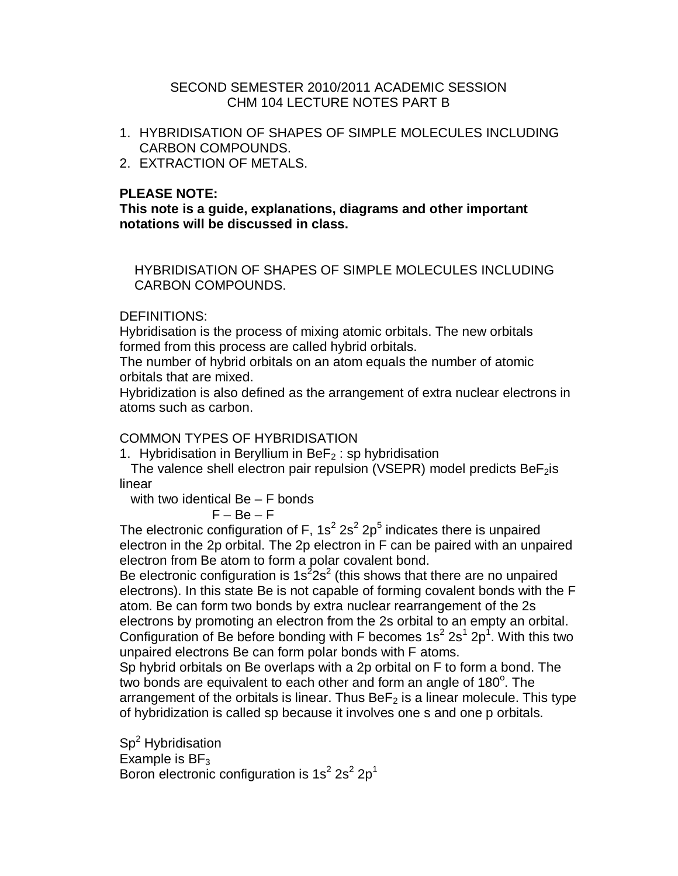#### SECOND SEMESTER 2010/2011 ACADEMIC SESSION CHM 104 LECTURE NOTES PART B

- 1. HYBRIDISATION OF SHAPES OF SIMPLE MOLECULES INCLUDING CARBON COMPOUNDS.
- 2. EXTRACTION OF METALS.

## **PLEASE NOTE:**

**This note is a guide, explanations, diagrams and other important notations will be discussed in class.**

 HYBRIDISATION OF SHAPES OF SIMPLE MOLECULES INCLUDING CARBON COMPOUNDS.

#### DEFINITIONS:

Hybridisation is the process of mixing atomic orbitals. The new orbitals formed from this process are called hybrid orbitals.

The number of hybrid orbitals on an atom equals the number of atomic orbitals that are mixed.

Hybridization is also defined as the arrangement of extra nuclear electrons in atoms such as carbon.

#### COMMON TYPES OF HYBRIDISATION

1. Hybridisation in Beryllium in BeF<sub>2</sub> : sp hybridisation

The valence shell electron pair repulsion (VSEPR) model predicts  $BeF_2$ is linear

with two identical Be – F bonds

$$
\mathsf{F}-\mathsf{Be}-\mathsf{F}
$$

The electronic configuration of F, 1s<sup>2</sup> 2s<sup>2</sup> 2p<sup>5</sup> indicates there is unpaired electron in the 2p orbital. The 2p electron in F can be paired with an unpaired electron from Be atom to form a polar covalent bond.

Be electronic configuration is  $1s^22s^2$  (this shows that there are no unpaired electrons). In this state Be is not capable of forming covalent bonds with the F atom. Be can form two bonds by extra nuclear rearrangement of the 2s electrons by promoting an electron from the 2s orbital to an empty an orbital. Configuration of Be before bonding with F becomes  $1s^2 2s^1 2p^1$ . With this two unpaired electrons Be can form polar bonds with F atoms.

Sp hybrid orbitals on Be overlaps with a 2p orbital on F to form a bond. The two bonds are equivalent to each other and form an angle of 180 $^{\circ}$ . The arrangement of the orbitals is linear. Thus  $BeF<sub>2</sub>$  is a linear molecule. This type of hybridization is called sp because it involves one s and one p orbitals.

Sp<sup>2</sup> Hybridisation Example is  $BF_3$ Boron electronic configuration is  $1s^2 2s^2 2p^1$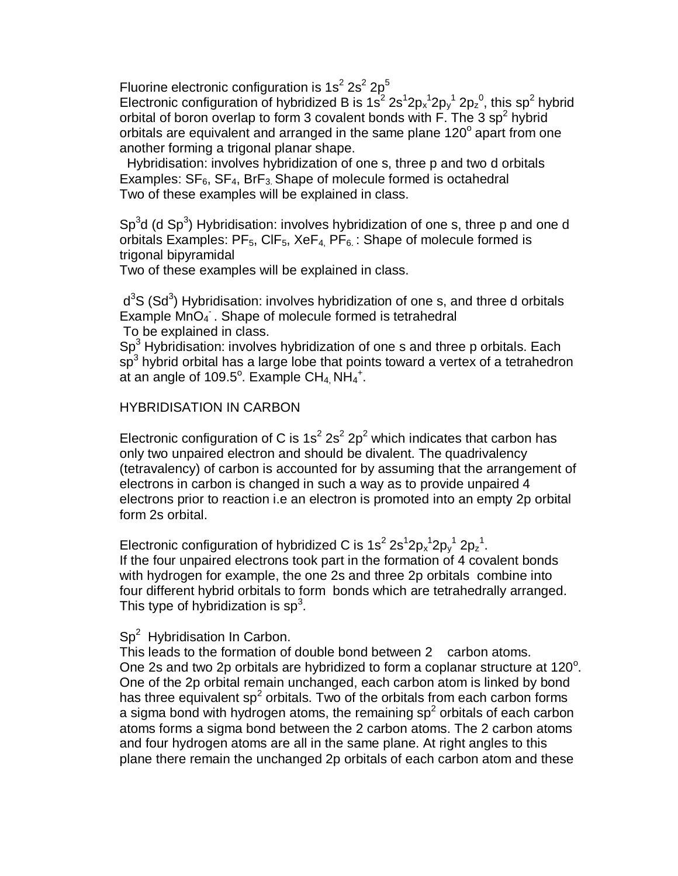Fluorine electronic configuration is  $1s^2 2s^2 2p^5$ 

Electronic configuration of hybridized B is  $1s^2 2s^1 2p_x^1 2p_y^1 2p_z^0$ , this sp<sup>2</sup> hybrid orbital of boron overlap to form 3 covalent bonds with  $\overline{F}$ . The 3 sp<sup>2</sup> hybrid orbitals are equivalent and arranged in the same plane 120 $^{\circ}$  apart from one another forming a trigonal planar shape.

 Hybridisation: involves hybridization of one s, three p and two d orbitals Examples:  $SF_6$ ,  $SF_4$ ,  $BrF_3$ . Shape of molecule formed is octahedral Two of these examples will be explained in class.

Sp<sup>3</sup>d (d Sp<sup>3</sup>) Hybridisation: involves hybridization of one s, three p and one d orbitals Examples:  $PF_5$ , CIF<sub>5</sub>, XeF<sub>4</sub>, PF<sub>6</sub>: Shape of molecule formed is trigonal bipyramidal

Two of these examples will be explained in class.

 $d^3S$  (Sd<sup>3</sup>) Hybridisation: involves hybridization of one s, and three d orbitals Example MnO<sub>4</sub>. Shape of molecule formed is tetrahedral To be explained in class.

 $Sp<sup>3</sup>$  Hybridisation: involves hybridization of one s and three p orbitals. Each  $\mathsf{sp}^3$  hybrid orbital has a large lobe that points toward a vertex of a tetrahedron at an angle of 109.5°. Example CH<sub>4,</sub> NH<sub>4</sub><sup>+</sup>.

## HYBRIDISATION IN CARBON

Electronic configuration of C is  $1s^2 2s^2 2p^2$  which indicates that carbon has only two unpaired electron and should be divalent. The quadrivalency (tetravalency) of carbon is accounted for by assuming that the arrangement of electrons in carbon is changed in such a way as to provide unpaired 4 electrons prior to reaction i.e an electron is promoted into an empty 2p orbital form 2s orbital.

Electronic configuration of hybridized C is  $1s^2 2s^1 2p_x^1 2p_y^1 2p_z^1$ . If the four unpaired electrons took part in the formation of 4 covalent bonds with hydrogen for example, the one 2s and three 2p orbitals combine into four different hybrid orbitals to form bonds which are tetrahedrally arranged. This type of hybridization is  $sp^3$ .

## $Sp<sup>2</sup>$  Hybridisation In Carbon.

This leads to the formation of double bond between 2 carbon atoms. One 2s and two 2p orbitals are hybridized to form a coplanar structure at  $120^\circ$ . One of the 2p orbital remain unchanged, each carbon atom is linked by bond has three equivalent sp<sup>2</sup> orbitals. Two of the orbitals from each carbon forms a sigma bond with hydrogen atoms, the remaining sp<sup>2</sup> orbitals of each carbon atoms forms a sigma bond between the 2 carbon atoms. The 2 carbon atoms and four hydrogen atoms are all in the same plane. At right angles to this plane there remain the unchanged 2p orbitals of each carbon atom and these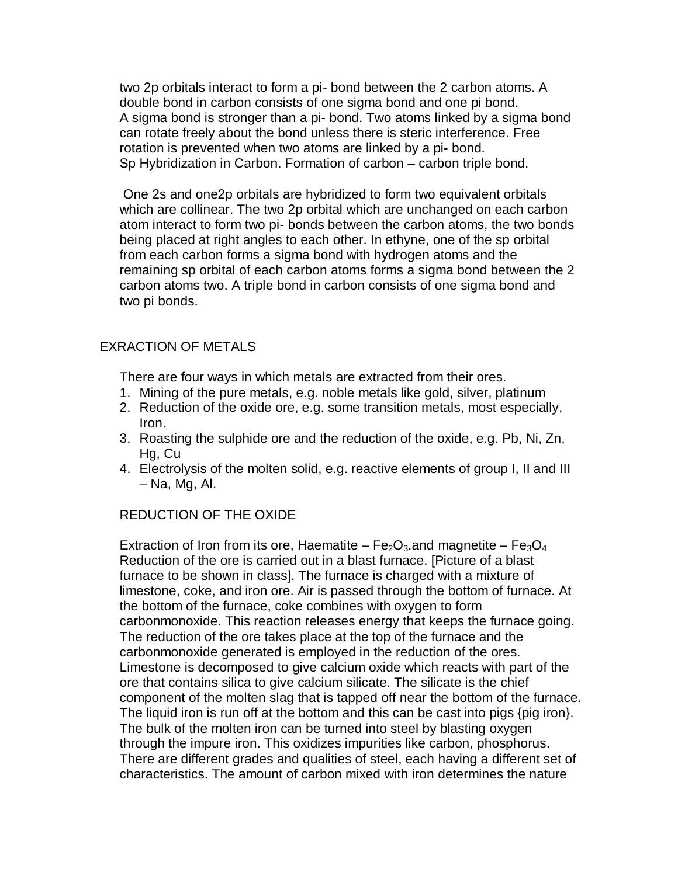two 2p orbitals interact to form a pi- bond between the 2 carbon atoms. A double bond in carbon consists of one sigma bond and one pi bond. A sigma bond is stronger than a pi- bond. Two atoms linked by a sigma bond can rotate freely about the bond unless there is steric interference. Free rotation is prevented when two atoms are linked by a pi- bond. Sp Hybridization in Carbon. Formation of carbon – carbon triple bond.

One 2s and one2p orbitals are hybridized to form two equivalent orbitals which are collinear. The two 2p orbital which are unchanged on each carbon atom interact to form two pi- bonds between the carbon atoms, the two bonds being placed at right angles to each other. In ethyne, one of the sp orbital from each carbon forms a sigma bond with hydrogen atoms and the remaining sp orbital of each carbon atoms forms a sigma bond between the 2 carbon atoms two. A triple bond in carbon consists of one sigma bond and two pi bonds.

## EXRACTION OF METALS

There are four ways in which metals are extracted from their ores.

- 1. Mining of the pure metals, e.g. noble metals like gold, silver, platinum
- 2. Reduction of the oxide ore, e.g. some transition metals, most especially, Iron.
- 3. Roasting the sulphide ore and the reduction of the oxide, e.g. Pb, Ni, Zn, Hg, Cu
- 4. Electrolysis of the molten solid, e.g. reactive elements of group I, II and III – Na, Mg, Al.

#### REDUCTION OF THE OXIDE

Extraction of Iron from its ore, Haematite –  $Fe<sub>2</sub>O<sub>3</sub>$  and magnetite –  $Fe<sub>3</sub>O<sub>4</sub>$ Reduction of the ore is carried out in a blast furnace. [Picture of a blast furnace to be shown in class]. The furnace is charged with a mixture of limestone, coke, and iron ore. Air is passed through the bottom of furnace. At the bottom of the furnace, coke combines with oxygen to form carbonmonoxide. This reaction releases energy that keeps the furnace going. The reduction of the ore takes place at the top of the furnace and the carbonmonoxide generated is employed in the reduction of the ores. Limestone is decomposed to give calcium oxide which reacts with part of the ore that contains silica to give calcium silicate. The silicate is the chief component of the molten slag that is tapped off near the bottom of the furnace. The liquid iron is run off at the bottom and this can be cast into pigs {pig iron}. The bulk of the molten iron can be turned into steel by blasting oxygen through the impure iron. This oxidizes impurities like carbon, phosphorus. There are different grades and qualities of steel, each having a different set of characteristics. The amount of carbon mixed with iron determines the nature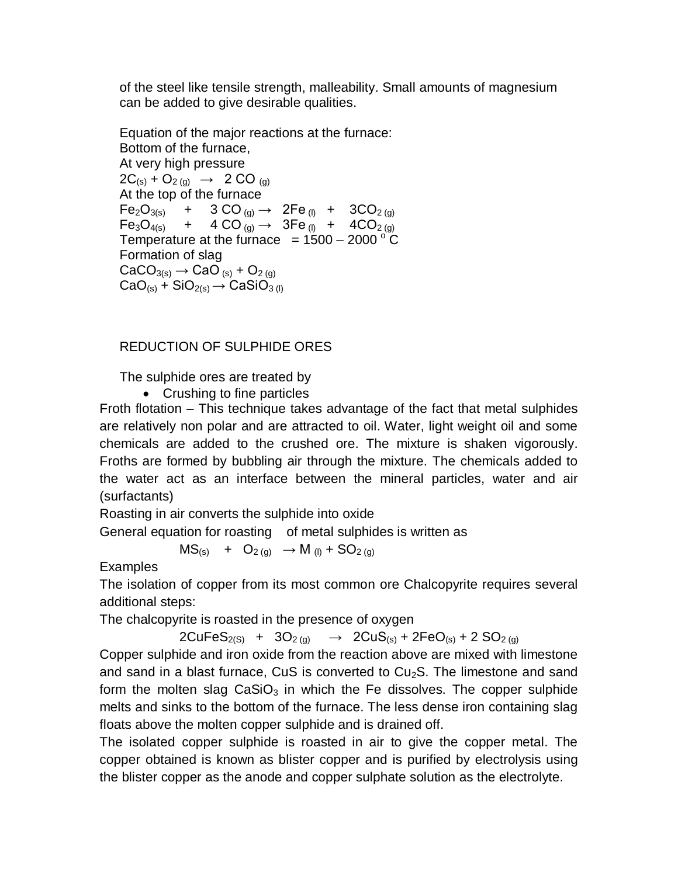of the steel like tensile strength, malleability. Small amounts of magnesium can be added to give desirable qualities.

Equation of the major reactions at the furnace: Bottom of the furnace, At very high pressure  $2C_{(s)} + O_{2(g)} \rightarrow 2 CO_{(g)}$ At the top of the furnace  $Fe<sub>2</sub>O<sub>3(s)</sub>$  + 3 CO <sub>(g)</sub>  $\rightarrow$  2Fe <sub>(l)</sub> + 3CO<sub>2 (g)</sub>  $Fe<sub>3</sub>O<sub>4(s)</sub>$  + 4 CO  $_{(q)} \rightarrow$  3Fe  $_{(l)}$  + 4 CO<sub>2 (g)</sub> Temperature at the furnace  $= 1500 - 2000$  ° C Formation of slag  $CaCO<sub>3(s)</sub> \rightarrow CaO<sub>(s)</sub> + O<sub>2(q)</sub>$  $CaO_{(s)} + SiO_{2(s)} \rightarrow CaSiO_{3(l)}$ 

## REDUCTION OF SULPHIDE ORES

The sulphide ores are treated by

• Crushing to fine particles

Froth flotation – This technique takes advantage of the fact that metal sulphides are relatively non polar and are attracted to oil. Water, light weight oil and some chemicals are added to the crushed ore. The mixture is shaken vigorously. Froths are formed by bubbling air through the mixture. The chemicals added to the water act as an interface between the mineral particles, water and air (surfactants)

Roasting in air converts the sulphide into oxide

General equation for roasting of metal sulphides is written as

 $MS_{(s)} + O_{2(q)} \rightarrow M_{(l)} + SO_{2(q)}$ 

Examples

The isolation of copper from its most common ore Chalcopyrite requires several additional steps:

The chalcopyrite is roasted in the presence of oxygen

 $2CuFeS_{2(S)}$  +  $3O_{2(g)}$   $\rightarrow$   $2CuS_{(s)}$  +  $2FeO_{(s)}$  +  $2 SO_{2(g)}$ 

Copper sulphide and iron oxide from the reaction above are mixed with limestone and sand in a blast furnace, CuS is converted to  $Cu<sub>2</sub>S$ . The limestone and sand form the molten slag  $CaSiO<sub>3</sub>$  in which the Fe dissolves. The copper sulphide melts and sinks to the bottom of the furnace. The less dense iron containing slag floats above the molten copper sulphide and is drained off.

The isolated copper sulphide is roasted in air to give the copper metal. The copper obtained is known as blister copper and is purified by electrolysis using the blister copper as the anode and copper sulphate solution as the electrolyte.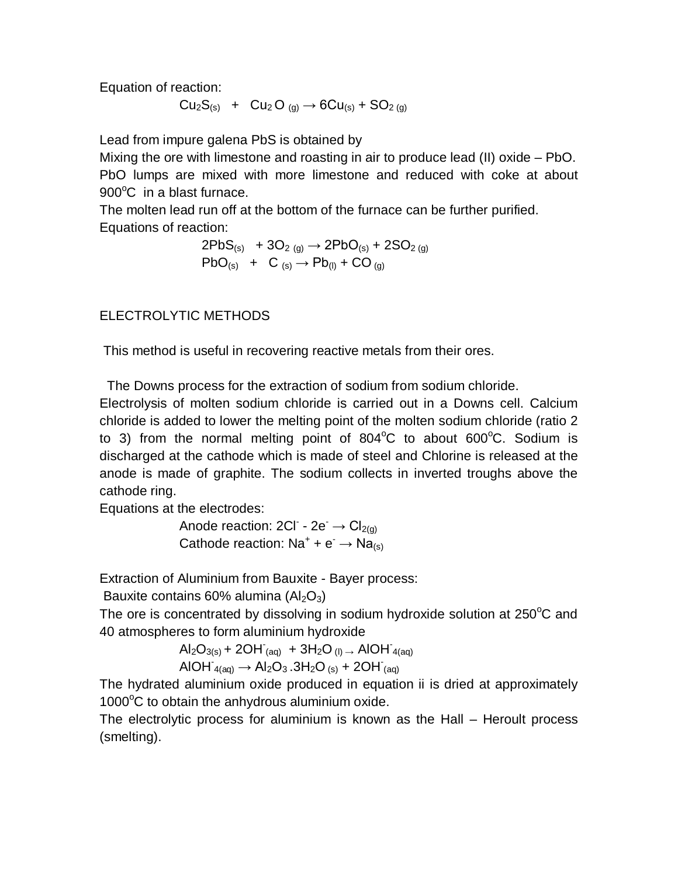Equation of reaction:

$$
Cu_2S_{(s)} + Cu_2O_{(g)} \rightarrow 6Cu_{(s)} + SO_{2(g)}
$$

Lead from impure galena PbS is obtained by

Mixing the ore with limestone and roasting in air to produce lead (II) oxide – PbO. PbO lumps are mixed with more limestone and reduced with coke at about  $900^{\circ}$ C in a blast furnace.

The molten lead run off at the bottom of the furnace can be further purified. Equations of reaction:

$$
2PbS_{(s)} + 3O_{2(g)} \rightarrow 2PbO_{(s)} + 2SO_{2(g)}
$$
  
 
$$
PbO_{(s)} + C_{(s)} \rightarrow Pb_{(l)} + CO_{(g)}
$$

ELECTROLYTIC METHODS

This method is useful in recovering reactive metals from their ores.

The Downs process for the extraction of sodium from sodium chloride.

Electrolysis of molten sodium chloride is carried out in a Downs cell. Calcium chloride is added to lower the melting point of the molten sodium chloride (ratio 2 to 3) from the normal melting point of  $804^{\circ}$ C to about  $600^{\circ}$ C. Sodium is discharged at the cathode which is made of steel and Chlorine is released at the anode is made of graphite. The sodium collects in inverted troughs above the cathode ring.

Equations at the electrodes:

Anode reaction:  $2CI - 2e^- \rightarrow Cl_{2(g)}$ Cathode reaction:  $Na^+ + e^- \rightarrow Na_{(s)}$ 

Extraction of Aluminium from Bauxite - Bayer process:

Bauxite contains 60% alumina  $(AI_2O_3)$ 

The ore is concentrated by dissolving in sodium hydroxide solution at  $250^{\circ}$ C and 40 atmospheres to form aluminium hydroxide

> $\text{Al}_2\text{O}_{3(s)}$  + 2OH  $_{(aq)}$  + 3H<sub>2</sub>O  $_{(l)}$   $\rightarrow$  AIOH  $_{4(aq)}$  $AIOH_{4(aq)} \rightarrow Al_2O_3.3H_2O_{(s)} + 2OH_{(aq)}$

The hydrated aluminium oxide produced in equation ii is dried at approximately  $1000^{\circ}$ C to obtain the anhydrous aluminium oxide.

The electrolytic process for aluminium is known as the Hall – Heroult process (smelting).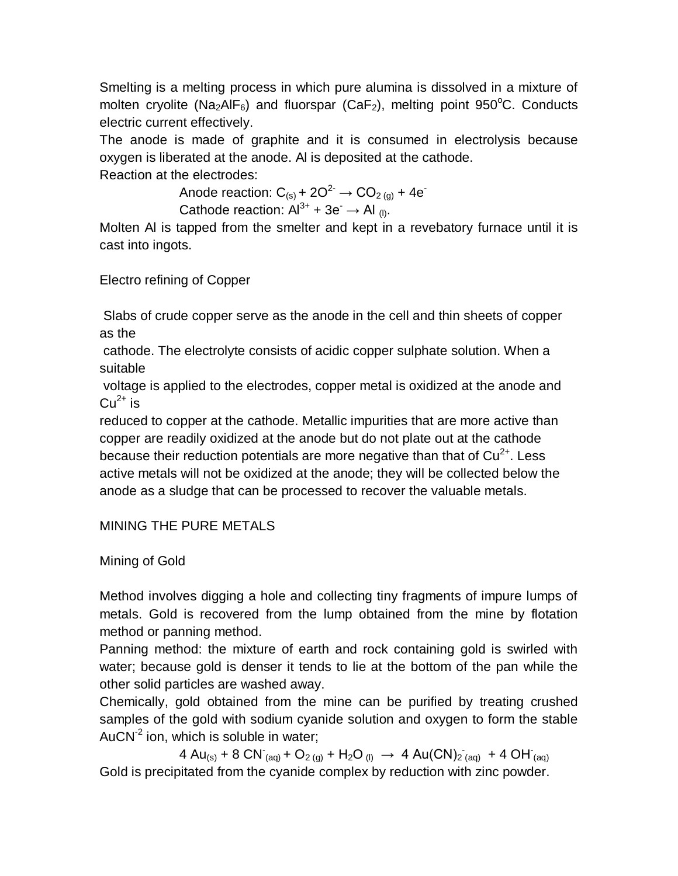Smelting is a melting process in which pure alumina is dissolved in a mixture of molten cryolite (Na<sub>2</sub>AlF<sub>6</sub>) and fluorspar (CaF<sub>2</sub>), melting point 950°C. Conducts electric current effectively.

The anode is made of graphite and it is consumed in electrolysis because oxygen is liberated at the anode. Al is deposited at the cathode.

Reaction at the electrodes:

Anode reaction:  $C_{(s)}$  + 2O<sup>2-</sup>  $\rightarrow$  CO<sub>2 (g)</sub> + 4e<sup>-</sup> Cathode reaction:  $Al^{3+} + 3e^- \rightarrow Al_{(l)}$ .

Molten Al is tapped from the smelter and kept in a revebatory furnace until it is cast into ingots.

Electro refining of Copper

Slabs of crude copper serve as the anode in the cell and thin sheets of copper as the

cathode. The electrolyte consists of acidic copper sulphate solution. When a suitable

voltage is applied to the electrodes, copper metal is oxidized at the anode and  $Cu<sup>2+</sup>$  is

reduced to copper at the cathode. Metallic impurities that are more active than copper are readily oxidized at the anode but do not plate out at the cathode because their reduction potentials are more negative than that of  $Cu<sup>2+</sup>$ . Less active metals will not be oxidized at the anode; they will be collected below the anode as a sludge that can be processed to recover the valuable metals.

# MINING THE PURE METALS

Mining of Gold

Method involves digging a hole and collecting tiny fragments of impure lumps of metals. Gold is recovered from the lump obtained from the mine by flotation method or panning method.

Panning method: the mixture of earth and rock containing gold is swirled with water; because gold is denser it tends to lie at the bottom of the pan while the other solid particles are washed away.

Chemically, gold obtained from the mine can be purified by treating crushed samples of the gold with sodium cyanide solution and oxygen to form the stable AuCN<sup>-2</sup> ion, which is soluble in water;

4 Au<sub>(s)</sub> + 8 CN<sup>-</sup>(aq) + O<sub>2(g)</sub> + H<sub>2</sub>O<sub>(l)</sub>  $\rightarrow$  4 Au(CN)<sub>2 (aq)</sub> + 4 OH<sup>-</sup>(aq) Gold is precipitated from the cyanide complex by reduction with zinc powder.